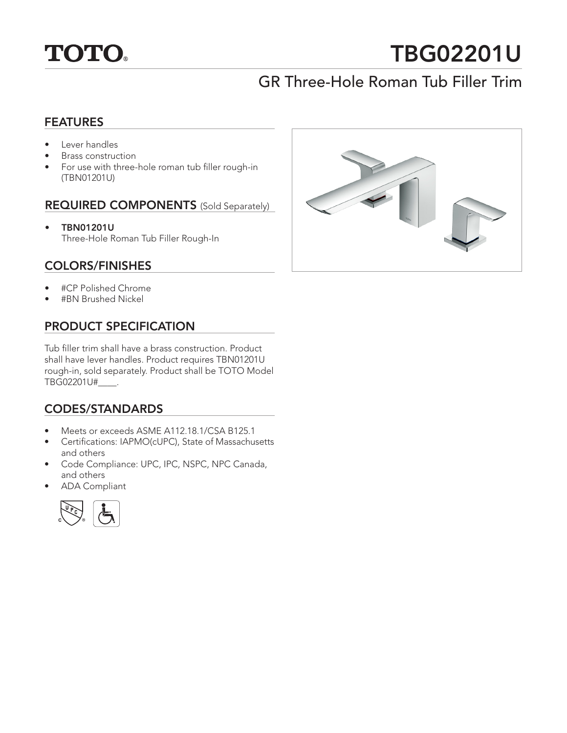

# TBG02201U

# GR Three-Hole Roman Tub Filler Trim

# FEATURES

- Lever handles
- Brass construction
- For use with three-hole roman tub filler rough-in (TBN01201U)

### REQUIRED COMPONENTS (Sold Separately)

• TBN01201U Three-Hole Roman Tub Filler Rough-In

# COLORS/FINISHES

- #CP Polished Chrome
- #BN Brushed Nickel

# PRODUCT SPECIFICATION

Tub filler trim shall have a brass construction. Product shall have lever handles. Product requires TBN01201U rough-in, sold separately. Product shall be TOTO Model TBG02201U#\_\_\_\_.

# CODES/STANDARDS

- Meets or exceeds ASME A112.18.1/CSA B125.1
- Certifications: IAPMO(cUPC), State of Massachusetts and others
- Code Compliance: UPC, IPC, NSPC, NPC Canada, and others
- ADA Compliant